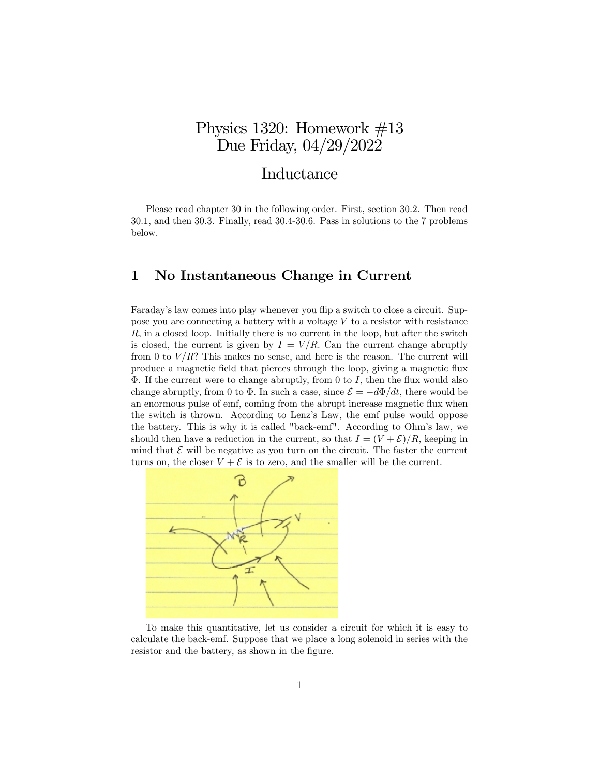# Physics 1320: Homework #13 Due Friday, 04/29/2022

## Inductance

Please read chapter 30 in the following order. First, section 30.2. Then read 30.1, and then 30.3. Finally, read 30.4-30.6. Pass in solutions to the 7 problems below.

### 1 No Instantaneous Change in Current

Faradayís law comes into play whenever you áip a switch to close a circuit. Suppose you are connecting a battery with a voltage V to a resistor with resistance R, in a closed loop. Initially there is no current in the loop, but after the switch is closed, the current is given by  $I = V/R$ . Can the current change abruptly from 0 to  $V/R$ ? This makes no sense, and here is the reason. The current will produce a magnetic Öeld that pierces through the loop, giving a magnetic áux  $\Phi$ . If the current were to change abruptly, from 0 to I, then the flux would also change abruptly, from 0 to  $\Phi$ . In such a case, since  $\mathcal{E} = -d\Phi/dt$ , there would be an enormous pulse of emf, coming from the abrupt increase magnetic flux when the switch is thrown. According to Lenzís Law, the emf pulse would oppose the battery. This is why it is called "back-emf". According to Ohmís law, we should then have a reduction in the current, so that  $I = (V + \mathcal{E})/R$ , keeping in mind that  $\mathcal E$  will be negative as you turn on the circuit. The faster the current turns on, the closer  $V + \mathcal{E}$  is to zero, and the smaller will be the current.



To make this quantitative, let us consider a circuit for which it is easy to calculate the back-emf. Suppose that we place a long solenoid in series with the resistor and the battery, as shown in the figure.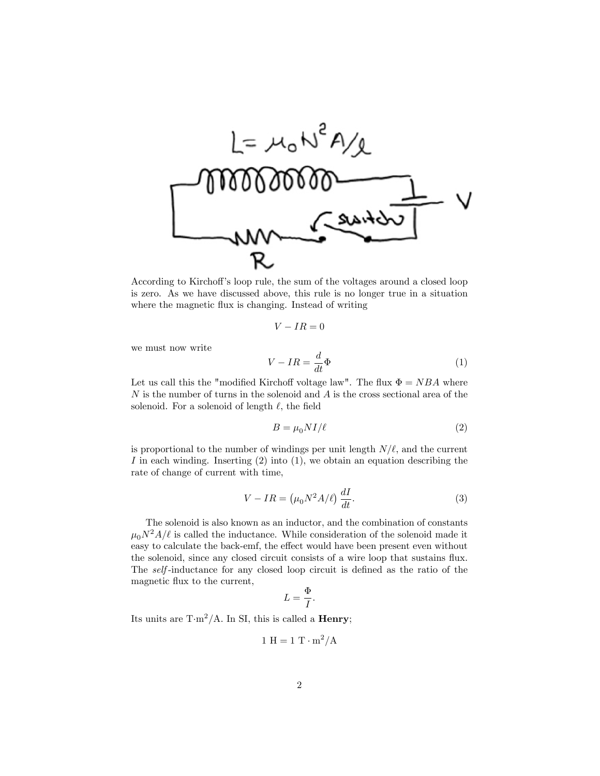

According to Kirchoff's loop rule, the sum of the voltages around a closed loop is zero. As we have discussed above, this rule is no longer true in a situation where the magnetic flux is changing. Instead of writing

$$
V - IR = 0
$$

we must now write

$$
V - IR = \frac{d}{dt}\Phi
$$
 (1)

Let us call this the "modified Kirchoff voltage law". The flux  $\Phi = NBA$  where  $N$  is the number of turns in the solenoid and  $A$  is the cross sectional area of the solenoid. For a solenoid of length  $\ell$ , the field

$$
B = \mu_0 N I / \ell \tag{2}
$$

is proportional to the number of windings per unit length  $N/\ell$ , and the current I in each winding. Inserting  $(2)$  into  $(1)$ , we obtain an equation describing the rate of change of current with time,

$$
V - IR = \left(\mu_0 N^2 A/\ell\right) \frac{dI}{dt}.\tag{3}
$$

The solenoid is also known as an inductor, and the combination of constants  $\mu_0 N^2 A/\ell$  is called the inductance. While consideration of the solenoid made it easy to calculate the back-emf, the effect would have been present even without the solenoid, since any closed circuit consists of a wire loop that sustains flux. The *self*-inductance for any closed loop circuit is defined as the ratio of the magnetic flux to the current,

$$
L=\frac{\Phi}{I}.
$$

Its units are  $T \cdot m^2/A$ . In SI, this is called a **Henry**;

$$
1 H = 1 T \cdot m^2/A
$$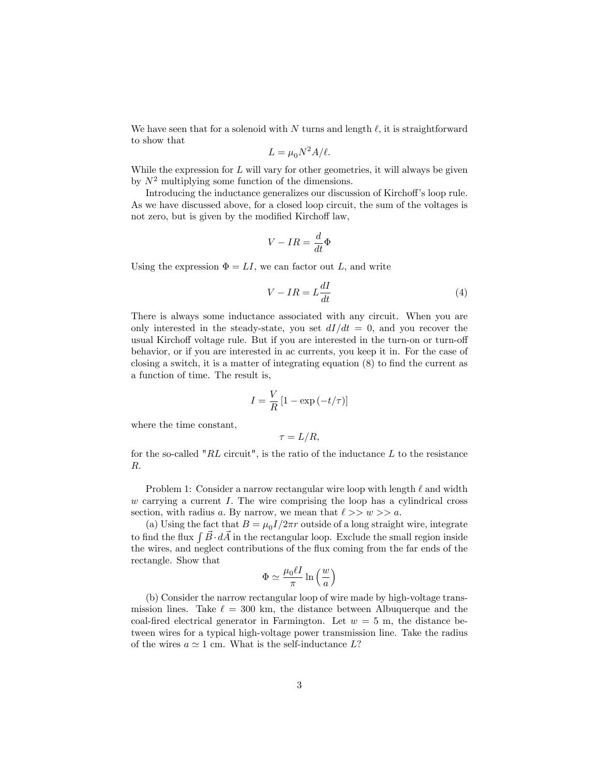We have seen that for a solenoid with N turns and length  $\ell$ , it is straightforward to show that

$$
L = \mu_0 N^2 A / \ell.
$$

While the expression for  $L$  will vary for other geometries, it will always be given by  $N^2$  multiplying some function of the dimensions.

Introducing the inductance generalizes our discussion of Kirchoff's loop rule. As we have discussed above, for a closed loop circuit, the sum of the voltages is not zero, but is given by the modified Kirchoff law,

$$
V - IR = \frac{d}{dt}\Phi
$$

Using the expression  $\Phi = LI$ , we can factor out L, and write

$$
V - IR = L\frac{dI}{dt} \tag{4}
$$

There is always some inductance associated with any circuit. When you are only interested in the steady-state, you set  $dI/dt = 0$ , and you recover the usual Kirchoff voltage rule. But if you are interested in the turn-on or turn-off behavior, or if you are interested in ac currents, you keep it in. For the case of closing a switch, it is a matter of integrating equation  $(8)$  to find the current as a function of time. The result is,

$$
I = \frac{V}{R} \left[ 1 - \exp\left(-t/\tau\right) \right]
$$

where the time constant,

$$
\tau = L/R,
$$

for the so-called " $RL$  circuit", is the ratio of the inductance  $L$  to the resistance R:

Problem 1: Consider a narrow rectangular wire loop with length  $\ell$  and width  $w$  carrying a current  $I$ . The wire comprising the loop has a cylindrical cross section, with radius a. By narrow, we mean that  $\ell >> w >> a$ .

(a) Using the fact that  $B = \mu_0 I/2\pi r$  outside of a long straight wire, integrate to find the flux  $\int \vec{B} \cdot d\vec{A}$  in the rectangular loop. Exclude the small region inside the wires, and neglect contributions of the flux coming from the far ends of the rectangle. Show that

$$
\Phi \simeq \frac{\mu_0 \ell I}{\pi} \ln\left(\frac{w}{a}\right)
$$

(b) Consider the narrow rectangular loop of wire made by high-voltage transmission lines. Take  $\ell = 300$  km, the distance between Albuquerque and the coal-fired electrical generator in Farmington. Let  $w = 5$  m, the distance between wires for a typical high-voltage power transmission line. Take the radius of the wires  $a \simeq 1$  cm. What is the self-inductance L?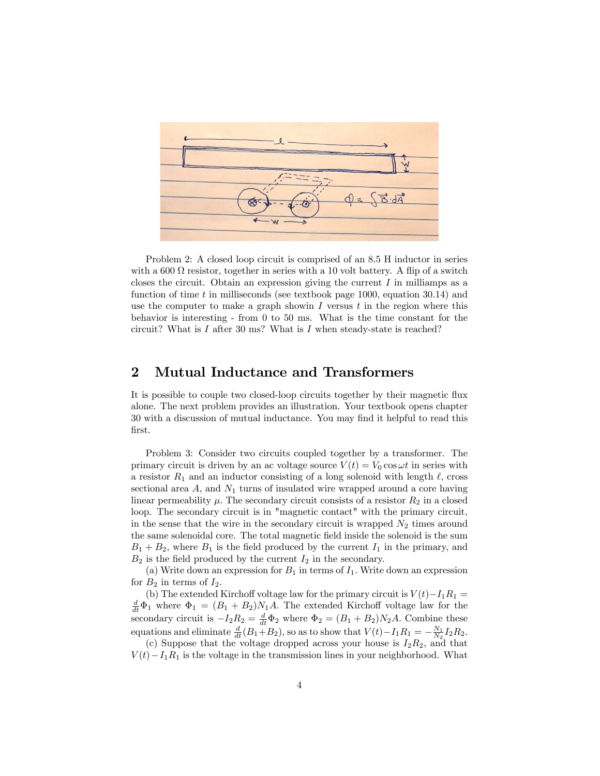

Problem 2: A closed loop circuit is comprised of an 8.5 H inductor in series with a  $600 \Omega$  resistor, together in series with a 10 volt battery. A flip of a switch closes the circuit. Obtain an expression giving the current  $I$  in milliamps as a function of time t in milliseconds (see textbook page  $1000$ , equation 30.14) and use the computer to make a graph showin  $I$  versus  $t$  in the region where this behavior is interesting - from 0 to 50 ms. What is the time constant for the circuit? What is  $I$  after 30 ms? What is  $I$  when steady-state is reached?

#### 2 Mutual Inductance and Transformers

It is possible to couple two closed-loop circuits together by their magnetic flux alone. The next problem provides an illustration. Your textbook opens chapter 30 with a discussion of mutual inductance. You may Önd it helpful to read this first.

Problem 3: Consider two circuits coupled together by a transformer. The primary circuit is driven by an ac voltage source  $V(t) = V_0 \cos \omega t$  in series with a resistor  $R_1$  and an inductor consisting of a long solenoid with length  $\ell$ , cross sectional area  $A$ , and  $N_1$  turns of insulated wire wrapped around a core having linear permeability  $\mu$ . The secondary circuit consists of a resistor  $R_2$  in a closed loop. The secondary circuit is in "magnetic contact" with the primary circuit, in the sense that the wire in the secondary circuit is wrapped  $N_2$  times around the same solenoidal core. The total magnetic Öeld inside the solenoid is the sum  $B_1 + B_2$ , where  $B_1$  is the field produced by the current  $I_1$  in the primary, and  $B_2$  is the field produced by the current  $I_2$  in the secondary.

(a) Write down an expression for  $B_1$  in terms of  $I_1$ . Write down an expression for  $B_2$  in terms of  $I_2$ .

(b) The extended Kirchoff voltage law for the primary circuit is  $V(t)-I_1R_1 =$  $\frac{d}{dt}\Phi_1$  where  $\Phi_1 = (B_1 + B_2)N_1A$ . The extended Kirchoff voltage law for the secondary circuit is  $-I_2R_2 = \frac{d}{dt}\Phi_2$  where  $\Phi_2 = (B_1 + B_2)N_2A$ . Combine these equations and eliminate  $\frac{d}{dt}(B_1+B_2)$ , so as to show that  $V(t)-I_1R_1 = -\frac{N_1}{N_2}I_2R_2$ .

(c) Suppose that the voltage dropped across your house is  $I_2R_2$ , and that  $V(t) - I_1R_1$  is the voltage in the transmission lines in your neighborhood. What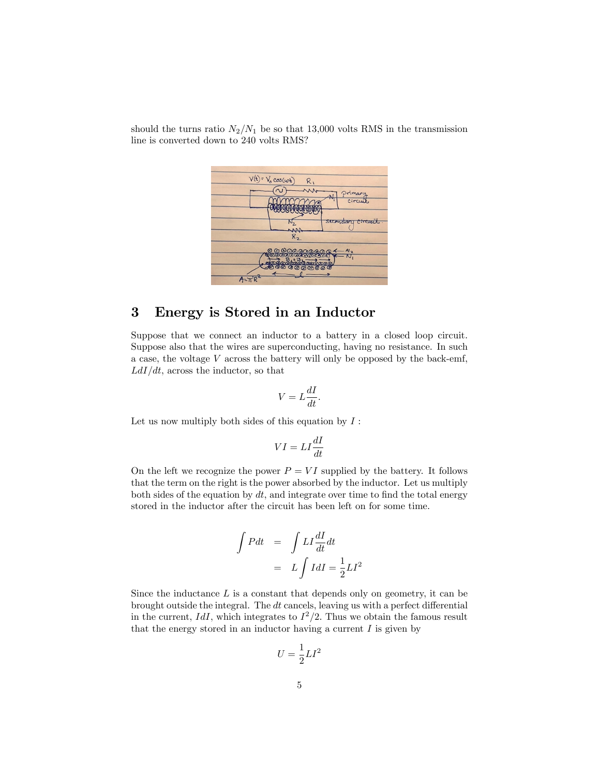

should the turns ratio  $N_2/N_1$  be so that 13,000 volts RMS in the transmission line is converted down to 240 volts RMS?

### 3 Energy is Stored in an Inductor

Suppose that we connect an inductor to a battery in a closed loop circuit. Suppose also that the wires are superconducting, having no resistance. In such a case, the voltage V across the battery will only be opposed by the back-emf,  $L dI/dt$ , across the inductor, so that

$$
V=L\frac{dI}{dt}.
$$

Let us now multiply both sides of this equation by  $I$ :

$$
VI = LI\frac{dI}{dt}
$$

On the left we recognize the power  $P = VI$  supplied by the battery. It follows that the term on the right is the power absorbed by the inductor. Let us multiply both sides of the equation by  $dt$ , and integrate over time to find the total energy stored in the inductor after the circuit has been left on for some time.

$$
\int Pdt = \int L I \frac{dI}{dt} dt
$$

$$
= L \int I dI = \frac{1}{2} L I^2
$$

Since the inductance  $L$  is a constant that depends only on geometry, it can be brought outside the integral. The  $dt$  cancels, leaving us with a perfect differential in the current, IdI, which integrates to  $I^2/2$ . Thus we obtain the famous result that the energy stored in an inductor having a current  $I$  is given by

$$
U = \frac{1}{2}LI^2
$$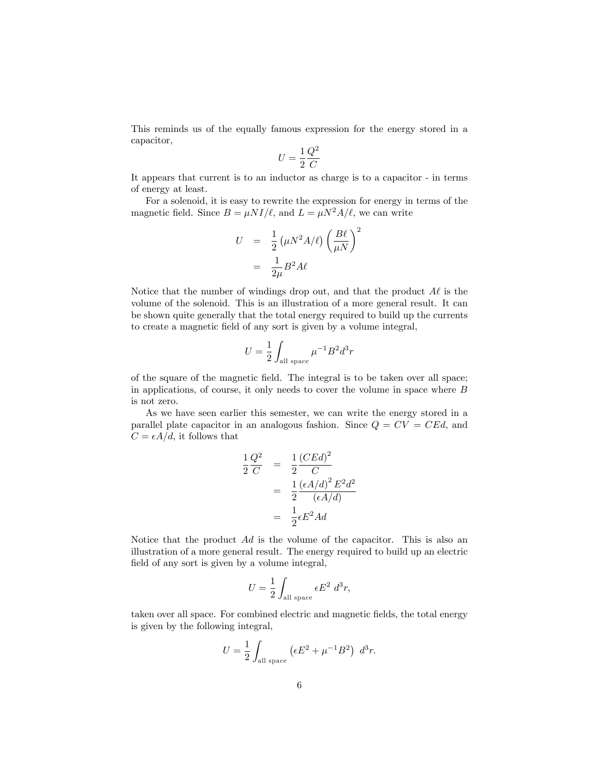This reminds us of the equally famous expression for the energy stored in a capacitor,

$$
U=\frac{1}{2}\frac{Q^2}{C}
$$

It appears that current is to an inductor as charge is to a capacitor - in terms of energy at least.

For a solenoid, it is easy to rewrite the expression for energy in terms of the magnetic field. Since  $B = \mu NI/\ell$ , and  $L = \mu N^2 A/\ell$ , we can write

$$
U = \frac{1}{2} (\mu N^2 A/\ell) \left(\frac{B\ell}{\mu N}\right)^2
$$

$$
= \frac{1}{2\mu} B^2 A\ell
$$

Notice that the number of windings drop out, and that the product  $A\ell$  is the volume of the solenoid. This is an illustration of a more general result. It can be shown quite generally that the total energy required to build up the currents to create a magnetic Öeld of any sort is given by a volume integral,

$$
U=\frac{1}{2}\int_{\text{all space}}\mu^{-1}B^2d^3r
$$

of the square of the magnetic Öeld. The integral is to be taken over all space; in applications, of course, it only needs to cover the volume in space where B is not zero.

As we have seen earlier this semester, we can write the energy stored in a parallel plate capacitor in an analogous fashion. Since  $Q = CV = CEd$ , and  $C = \epsilon A/d$ , it follows that

$$
\frac{1}{2}\frac{Q^2}{C} = \frac{1}{2}\frac{(CEd)^2}{C}
$$

$$
= \frac{1}{2}\frac{(\epsilon A/d)^2 E^2 d^2}{(\epsilon A/d)}
$$

$$
= \frac{1}{2}\epsilon E^2 Ad
$$

Notice that the product  $Ad$  is the volume of the capacitor. This is also an illustration of a more general result. The energy required to build up an electric field of any sort is given by a volume integral,

$$
U = \frac{1}{2} \int_{\text{all space}} \epsilon E^2 \ d^3r,
$$

taken over all space. For combined electric and magnetic fields, the total energy is given by the following integral,

$$
U = \frac{1}{2} \int_{\text{all space}} \left( \epsilon E^2 + \mu^{-1} B^2 \right) d^3 r.
$$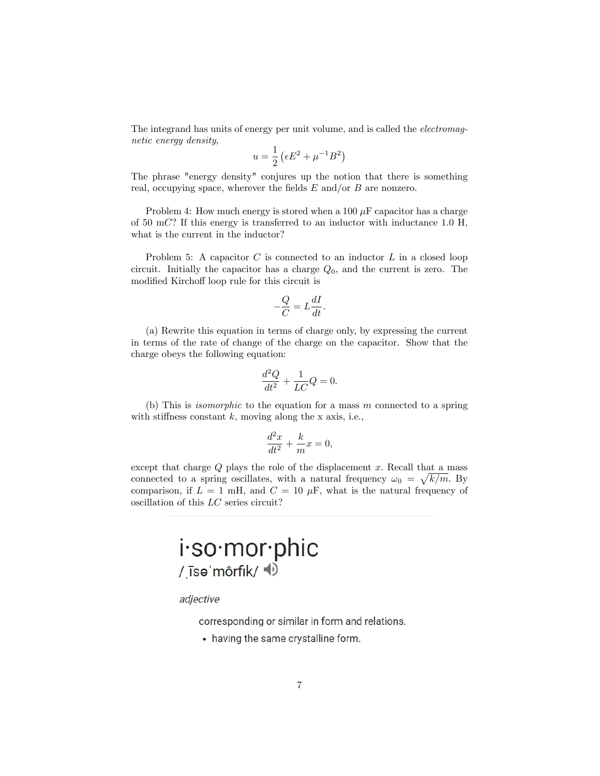The integrand has units of energy per unit volume, and is called the electromagnetic energy density,

$$
u = \frac{1}{2} \left( \epsilon E^2 + \mu^{-1} B^2 \right)
$$

The phrase "energy density" conjures up the notion that there is something real, occupying space, wherever the fields  $E$  and/or  $B$  are nonzero.

Problem 4: How much energy is stored when a 100  $\mu$ F capacitor has a charge of 50 mC? If this energy is transferred to an inductor with inductance 1.0 H, what is the current in the inductor?

Problem 5: A capacitor  $C$  is connected to an inductor  $L$  in a closed loop circuit. Initially the capacitor has a charge  $Q_0$ , and the current is zero. The modified Kirchoff loop rule for this circuit is

$$
-\frac{Q}{C} = L\frac{dI}{dt}.
$$

(a) Rewrite this equation in terms of charge only, by expressing the current in terms of the rate of change of the charge on the capacitor. Show that the charge obeys the following equation:

$$
\frac{d^2Q}{dt^2} + \frac{1}{LC}Q = 0.
$$

(b) This is *isomorphic* to the equation for a mass  $m$  connected to a spring with stiffness constant  $k$ , moving along the x axis, i.e.,

$$
\frac{d^2x}{dt^2} + \frac{k}{m}x = 0,
$$

except that charge  $Q$  plays the role of the displacement  $x$ . Recall that a mass connected to a spring oscillates, with a natural frequency  $\omega_0 = \sqrt{k/m}$ . By comparison, if  $L = 1$  mH, and  $C = 10 \mu$ F, what is the natural frequency of oscillation of this LC series circuit?

> i·so·mor·phic / īsə môrfik/ <sup>(1)</sup>

adjective

corresponding or similar in form and relations.

• having the same crystalline form.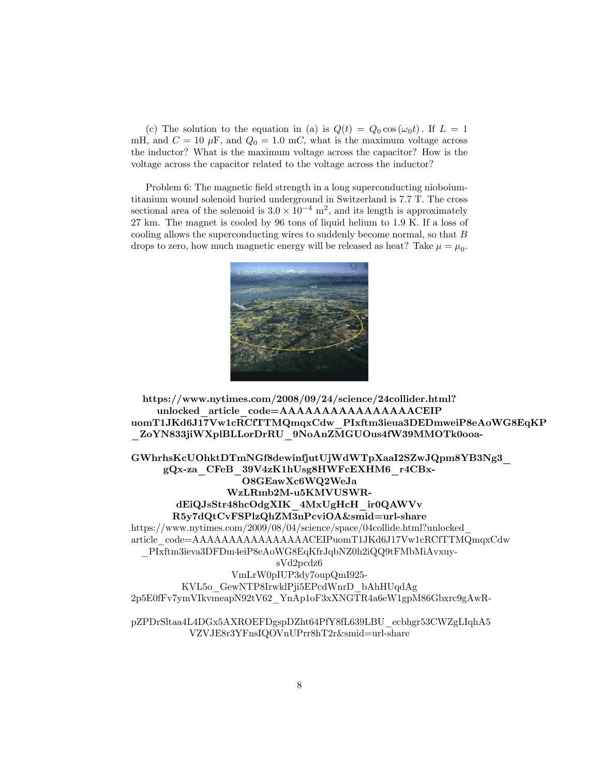(c) The solution to the equation in (a) is  $Q(t) = Q_0 \cos(\omega_0 t)$ . If  $L = 1$ mH, and  $C = 10 \mu$ F, and  $Q_0 = 1.0 \text{ mC}$ , what is the maximum voltage across the inductor? What is the maximum voltage across the capacitor? How is the voltage across the capacitor related to the voltage across the inductor?

Problem 6: The magnetic field strength in a long superconducting nioboiumtitanium wound solenoid buried underground in Switzerland is 7:7 T. The cross sectional area of the solenoid is  $3.0 \times 10^{-4}$  m<sup>2</sup>, and its length is approximately 27 km. The magnet is cooled by 96 tons of liquid helium to 1.9 K. If a loss of cooling allows the superconducting wires to suddenly become normal, so that B drops to zero, how much magnetic energy will be released as heat? Take  $\mu = \mu_0$ .



https://www.nytimes.com/2008/09/24/science/24collider.html? unlocked article code=AAAAAAAAAAAAAAAACEIP uomT1JKd6J17Vw1cRCfTTMQmqxCdw\_PIxftm3ieua3DEDmweiP8eAoWG8EqKP \_ZoYN833jiWXplBLLorDrRU\_9NoAnZMGUOus4fW39MMOTk0ooa-

GWhrhsKcUOhktDTmNGf8dewinfjutUjWdWTpXaaI2SZwJQpm8YB3Ng3\_ gQx-za\_CFeB\_39V4zK1hUsg8HWFcEXHM6\_r4CBx-O8GEawXc6WQ2WeJa WzLRmb2M-u5KMVUSWRdEiQJsStr48hcOdgXIK\_4MxUgHcH\_ir0QAWVv R5y7dQtCvFSPlzQhZM3nPcviOA&smid=url-share https://www.nytimes.com/2009/08/04/science/space/04collide.html?unlocked\_ article\_code=AAAAAAAAAAAAAAAACEIPuomT1JKd6J17Vw1cRCfTTMQmqxCdw \_PIxftm3ieva3DFDm4eiP8eAoWG8EqKfrJqbNZ0h2iQQ9tFMbMiAvxuysVd2pcdz6 VmLrW0pIUP3dy7oupQmI925- KVL5o\_GewNTP8IrwklPji5EPcdWnrD\_bAhHUqdAg 2p5E0fFv7ymVIkvmeapN92tV62\_YnAp1oF3xXNGTR4a6eW1gpM86Gbxrc9gAwR-

pZPDrSltaa4L4DGx5AXROEFDgspDZht64PfY8fL639LBU\_ecbhgr53CWZgLIqhA5 VZVJE8r3YFnsIQOVnUPrr8hT2r&smid=url-share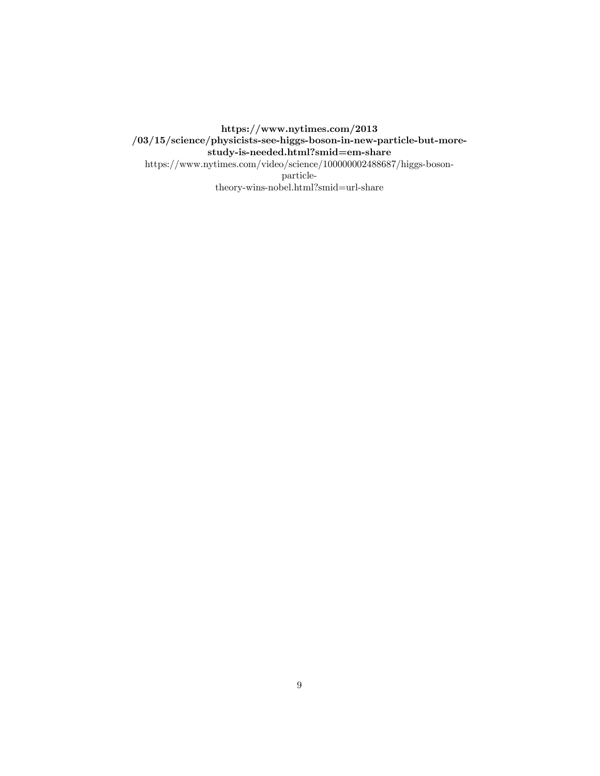https://www.nytimes.com/2013 /03/15/science/physicists-see-higgs-boson-in-new-particle-but-morestudy-is-needed.html?smid=em-share https://www.nytimes.com/video/science/100000002488687/higgs-bosonparticletheory-wins-nobel.html?smid=url-share